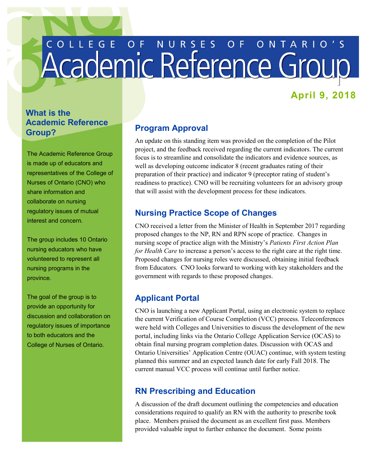# COLLEGE OF NURSES OF ONTARIO'S

# **April 9, 2018**

## **What is the Academic Reference Group?**

The Academic Reference Group is made up of educators and representatives of the College of Nurses of Ontario (CNO) who share information and collaborate on nursing regulatory issues of mutual interest and concern.

The group includes 10 Ontario nursing educators who have volunteered to represent all nursing programs in the province.

 provide an opportunity for The goal of the group is to discussion and collaboration on regulatory issues of importance to both educators and the College of Nurses of Ontario.

## **Program Approval**

 An update on this standing item was provided on the completion of the Pilot project, and the feedback received regarding the current indicators. The current focus is to streamline and consolidate the indicators and evidence sources, as well as developing outcome indicator 8 (recent graduates rating of their preparation of their practice) and indicator 9 (preceptor rating of student's readiness to practice). CNO will be recruiting volunteers for an advisory group that will assist with the development process for these indicators.

#### **Nursing Practice Scope of Changes**

 CNO received a letter from the Minister of Health in September 2017 regarding nursing scope of practice align with the Ministry's *Patients First Action Plan for Health Care* to increase a person's access to the right care at the right time. proposed changes to the NP, RN and RPN scope of practice. Changes in Proposed changes for nursing roles were discussed, obtaining initial feedback from Educators. CNO looks forward to working with key stakeholders and the government with regards to these proposed changes.

#### **Applicant Portal**

 the current Verification of Course Completion (VCC) process. Teleconferences planned this summer and an expected launch date for early Fall 2018. The current manual VCC process will continue until further notice. CNO is launching a new Applicant Portal, using an electronic system to replace were held with Colleges and Universities to discuss the development of the new portal, including links via the Ontario College Application Service (OCAS) to obtain final nursing program completion dates. Discussion with OCAS and Ontario Universities' Application Centre (OUAC) continue, with system testing

## **RN Prescribing and Education**

 place. Members praised the document as an excellent first pass. Members provided valuable input to further enhance the document. Some points A discussion of the draft document outlining the competencies and education considerations required to qualify an RN with the authority to prescribe took